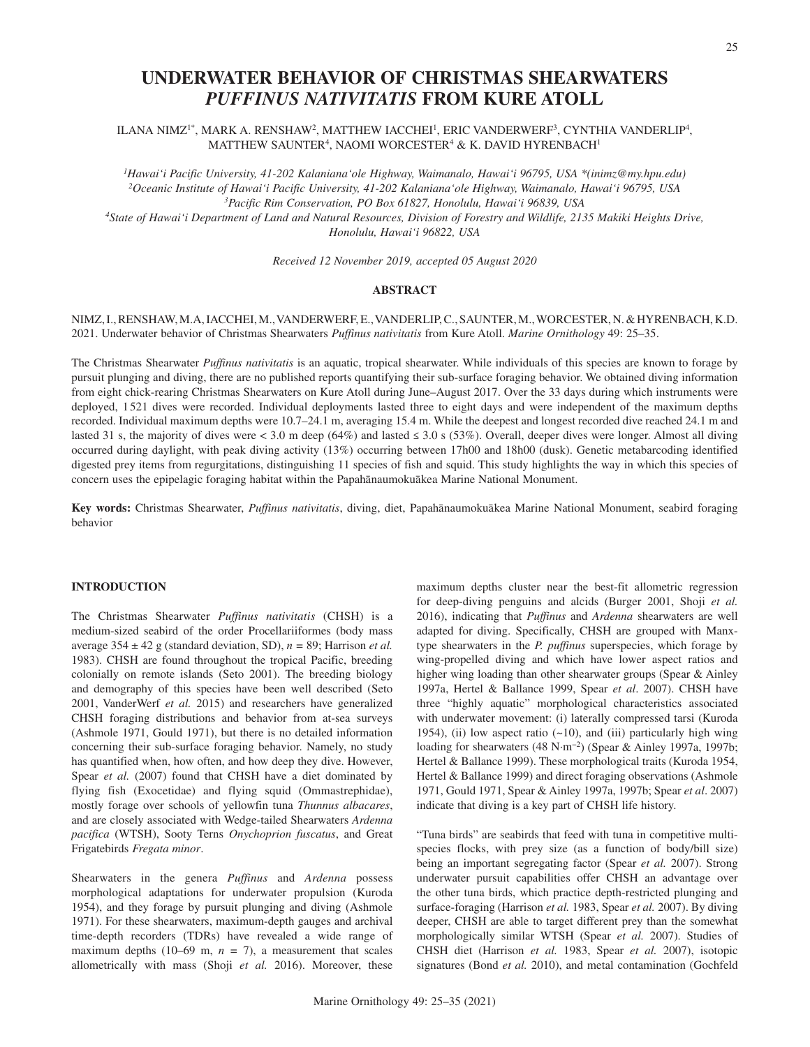# **UNDERWATER BEHAVIOR OF CHRISTMAS SHEARWATERS**  *PUFFINUS NATIVITATIS* **FROM KURE ATOLL**

ILANA NIMZ1\*, MARK A. RENSHAW2, MATTHEW IACCHEI1, ERIC VANDERWERF3, CYNTHIA VANDERLIP4, MATTHEW SAUNTER<sup>4</sup>, NAOMI WORCESTER<sup>4</sup> & K. DAVID HYRENBACH<sup>1</sup>

*1 Hawai'i Pacific University, 41-202 Kalaniana'ole Highway, Waimanalo, Hawai'i 96795, USA \*(inimz@my.hpu.edu) 2Oceanic Institute of Hawai'i Pacific University, 41-202 Kalaniana'ole Highway, Waimanalo, Hawai'i 96795, USA 3Pacific Rim Conservation, PO Box 61827, Honolulu, Hawai'i 96839, USA 4State of Hawai'i Department of Land and Natural Resources, Division of Forestry and Wildlife, 2135 Makiki Heights Drive, Honolulu, Hawai'i 96822, USA*

*Received 12 November 2019, accepted 05 August 2020*

# **ABSTRACT**

NIMZ, I., RENSHAW, M.A, IACCHEI, M., VANDERWERF, E., VANDERLIP, C., SAUNTER, M., WORCESTER, N. & HYRENBACH, K.D. 2021. Underwater behavior of Christmas Shearwaters *Puffinus nativitatis* from Kure Atoll. *Marine Ornithology* 49: 25–35.

The Christmas Shearwater *Puffinus nativitatis* is an aquatic, tropical shearwater. While individuals of this species are known to forage by pursuit plunging and diving, there are no published reports quantifying their sub-surface foraging behavior. We obtained diving information from eight chick-rearing Christmas Shearwaters on Kure Atoll during June–August 2017. Over the 33 days during which instruments were deployed, 1521 dives were recorded. Individual deployments lasted three to eight days and were independent of the maximum depths recorded. Individual maximum depths were 10.7–24.1 m, averaging 15.4 m. While the deepest and longest recorded dive reached 24.1 m and lasted 31 s, the majority of dives were < 3.0 m deep (64%) and lasted  $\leq$  3.0 s (53%). Overall, deeper dives were longer. Almost all diving occurred during daylight, with peak diving activity (13%) occurring between 17h00 and 18h00 (dusk). Genetic metabarcoding identified digested prey items from regurgitations, distinguishing 11 species of fish and squid. This study highlights the way in which this species of concern uses the epipelagic foraging habitat within the Papahānaumokuākea Marine National Monument.

Key words: Christmas Shearwater, *Puffinus nativitatis*, diving, diet, Papahānaumokuākea Marine National Monument, seabird foraging behavior

# **INTRODUCTION**

The Christmas Shearwater *Puffinus nativitatis* (CHSH) is a medium-sized seabird of the order Procellariiformes (body mass average  $354 \pm 42$  g (standard deviation, SD),  $n = 89$ ; Harrison *et al.* 1983). CHSH are found throughout the tropical Pacific, breeding colonially on remote islands (Seto 2001). The breeding biology and demography of this species have been well described (Seto 2001, VanderWerf *et al.* 2015) and researchers have generalized CHSH foraging distributions and behavior from at-sea surveys (Ashmole 1971, Gould 1971), but there is no detailed information concerning their sub-surface foraging behavior. Namely, no study has quantified when, how often, and how deep they dive. However, Spear *et al.* (2007) found that CHSH have a diet dominated by flying fish (Exocetidae) and flying squid (Ommastrephidae), mostly forage over schools of yellowfin tuna *Thunnus albacares*, and are closely associated with Wedge-tailed Shearwaters *Ardenna pacifica* (WTSH), Sooty Terns *Onychoprion fuscatus*, and Great Frigatebirds *Fregata minor*.

Shearwaters in the genera *Puffinus* and *Ardenna* possess morphological adaptations for underwater propulsion (Kuroda 1954), and they forage by pursuit plunging and diving (Ashmole 1971). For these shearwaters, maximum-depth gauges and archival time-depth recorders (TDRs) have revealed a wide range of maximum depths (10–69 m,  $n = 7$ ), a measurement that scales allometrically with mass (Shoji *et al.* 2016). Moreover, these

maximum depths cluster near the best-fit allometric regression for deep-diving penguins and alcids (Burger 2001, Shoji *et al.* 2016), indicating that *Puffinus* and *Ardenna* shearwaters are well adapted for diving. Specifically, CHSH are grouped with Manxtype shearwaters in the *P. puffinus* superspecies, which forage by wing-propelled diving and which have lower aspect ratios and higher wing loading than other shearwater groups (Spear & Ainley 1997a, Hertel & Ballance 1999, Spear *et al*. 2007). CHSH have three "highly aquatic" morphological characteristics associated with underwater movement: (i) laterally compressed tarsi (Kuroda 1954), (ii) low aspect ratio  $(-10)$ , and (iii) particularly high wing loading for shearwaters (48 N∙m−2) (Spear & Ainley 1997a, 1997b; Hertel & Ballance 1999). These morphological traits (Kuroda 1954, Hertel & Ballance 1999) and direct foraging observations (Ashmole 1971, Gould 1971, Spear & Ainley 1997a, 1997b; Spear *et al*. 2007) indicate that diving is a key part of CHSH life history.

"Tuna birds" are seabirds that feed with tuna in competitive multispecies flocks, with prey size (as a function of body/bill size) being an important segregating factor (Spear *et al.* 2007). Strong underwater pursuit capabilities offer CHSH an advantage over the other tuna birds, which practice depth-restricted plunging and surface-foraging (Harrison *et al.* 1983, Spear *et al.* 2007). By diving deeper, CHSH are able to target different prey than the somewhat morphologically similar WTSH (Spear *et al.* 2007). Studies of CHSH diet (Harrison *et al.* 1983, Spear *et al.* 2007), isotopic signatures (Bond *et al.* 2010), and metal contamination (Gochfeld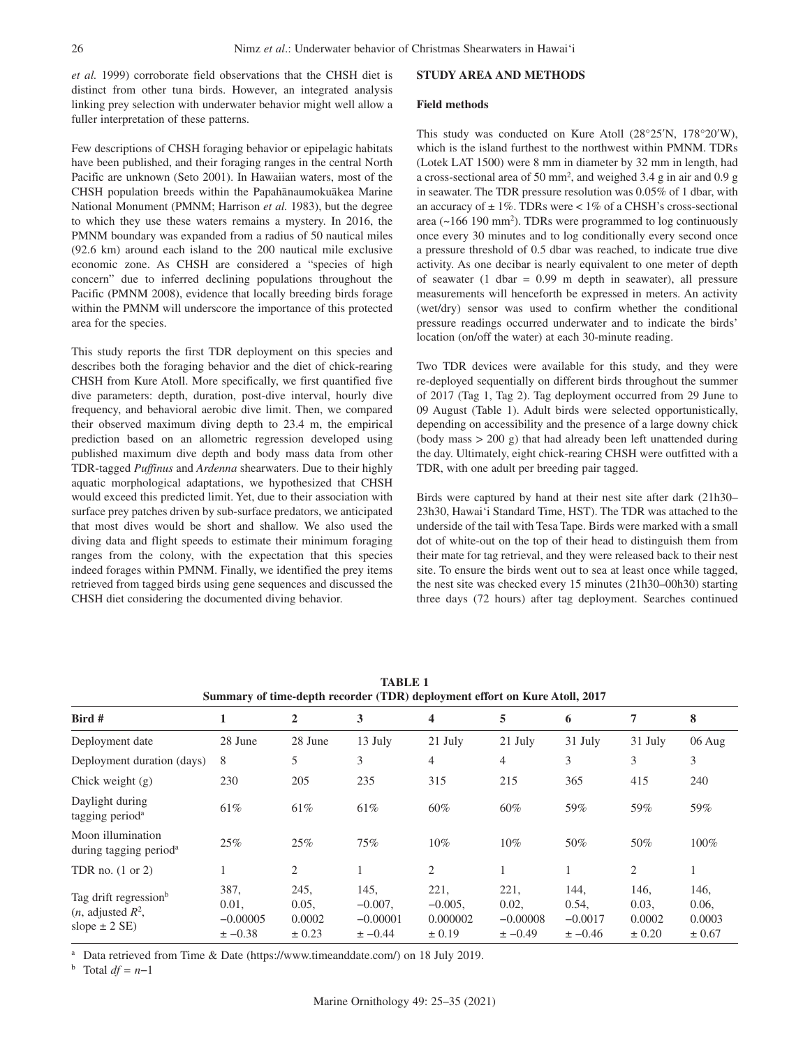*et al.* 1999) corroborate field observations that the CHSH diet is distinct from other tuna birds. However, an integrated analysis linking prey selection with underwater behavior might well allow a fuller interpretation of these patterns.

Few descriptions of CHSH foraging behavior or epipelagic habitats have been published, and their foraging ranges in the central North Pacific are unknown (Seto 2001). In Hawaiian waters, most of the CHSH population breeds within the Papahānaumokuākea Marine National Monument (PMNM; Harrison *et al.* 1983), but the degree to which they use these waters remains a mystery. In 2016, the PMNM boundary was expanded from a radius of 50 nautical miles (92.6 km) around each island to the 200 nautical mile exclusive economic zone. As CHSH are considered a "species of high concern" due to inferred declining populations throughout the Pacific (PMNM 2008), evidence that locally breeding birds forage within the PMNM will underscore the importance of this protected area for the species.

This study reports the first TDR deployment on this species and describes both the foraging behavior and the diet of chick-rearing CHSH from Kure Atoll. More specifically, we first quantified five dive parameters: depth, duration, post-dive interval, hourly dive frequency, and behavioral aerobic dive limit. Then, we compared their observed maximum diving depth to 23.4 m, the empirical prediction based on an allometric regression developed using published maximum dive depth and body mass data from other TDR-tagged *Puffinus* and *Ardenna* shearwaters. Due to their highly aquatic morphological adaptations, we hypothesized that CHSH would exceed this predicted limit. Yet, due to their association with surface prey patches driven by sub-surface predators, we anticipated that most dives would be short and shallow. We also used the diving data and flight speeds to estimate their minimum foraging ranges from the colony, with the expectation that this species indeed forages within PMNM. Finally, we identified the prey items retrieved from tagged birds using gene sequences and discussed the CHSH diet considering the documented diving behavior.

# **STUDY AREA AND METHODS**

# **Field methods**

This study was conducted on Kure Atoll (28°25′N, 178°20′W), which is the island furthest to the northwest within PMNM. TDRs (Lotek LAT 1500) were 8 mm in diameter by 32 mm in length, had a cross-sectional area of 50 mm2 , and weighed 3.4 g in air and 0.9 g in seawater. The TDR pressure resolution was 0.05% of 1 dbar, with an accuracy of  $\pm 1\%$ . TDRs were < 1% of a CHSH's cross-sectional area ( $\sim$ 166 190 mm<sup>2</sup>). TDRs were programmed to log continuously once every 30 minutes and to log conditionally every second once a pressure threshold of 0.5 dbar was reached, to indicate true dive activity. As one decibar is nearly equivalent to one meter of depth of seawater  $(1$  dbar = 0.99 m depth in seawater), all pressure measurements will henceforth be expressed in meters. An activity (wet/dry) sensor was used to confirm whether the conditional pressure readings occurred underwater and to indicate the birds' location (on/off the water) at each 30-minute reading.

Two TDR devices were available for this study, and they were re-deployed sequentially on different birds throughout the summer of 2017 (Tag 1, Tag 2). Tag deployment occurred from 29 June to 09 August (Table 1). Adult birds were selected opportunistically, depending on accessibility and the presence of a large downy chick (body mass > 200 g) that had already been left unattended during the day. Ultimately, eight chick-rearing CHSH were outfitted with a TDR, with one adult per breeding pair tagged.

Birds were captured by hand at their nest site after dark (21h30– 23h30, Hawai'i Standard Time, HST). The TDR was attached to the underside of the tail with Tesa Tape. Birds were marked with a small dot of white-out on the top of their head to distinguish them from their mate for tag retrieval, and they were released back to their nest site. To ensure the birds went out to sea at least once while tagged, the nest site was checked every 15 minutes (21h30–00h30) starting three days (72 hours) after tag deployment. Searches continued

| Summary of time-depth recorder (TDR) deployment effort on Kure Atoll, 2017       |                                            |                                       |                                                 |                                              |                                            |                                           |                                       |                                       |
|----------------------------------------------------------------------------------|--------------------------------------------|---------------------------------------|-------------------------------------------------|----------------------------------------------|--------------------------------------------|-------------------------------------------|---------------------------------------|---------------------------------------|
| Bird #                                                                           | ш                                          | 2                                     | 3                                               | $\overline{\mathbf{4}}$                      | 5                                          | 6                                         | 7                                     | 8                                     |
| Deployment date                                                                  | 28 June                                    | 28 June                               | 13 July                                         | 21 July                                      | $21$ July                                  | 31 July                                   | 31 July                               | $06 \text{ Aug}$                      |
| Deployment duration (days)                                                       | 8                                          | 5                                     | 3                                               | $\overline{4}$                               | $\overline{4}$                             | 3                                         | 3                                     | 3                                     |
| Chick weight $(g)$                                                               | 230                                        | 205                                   | 235                                             | 315                                          | 215                                        | 365                                       | 415                                   | 240                                   |
| Daylight during<br>tagging period <sup>a</sup>                                   | 61%                                        | 61%                                   | 61%                                             | 60%                                          | 60%                                        | 59%                                       | 59%                                   | 59%                                   |
| Moon illumination<br>during tagging period <sup>a</sup>                          | 25%                                        | 25%                                   | 75%                                             | $10\%$                                       | $10\%$                                     | 50%                                       | 50%                                   | $100\%$                               |
| TDR no. $(1 \text{ or } 2)$                                                      |                                            | 2                                     |                                                 | $\overline{2}$                               |                                            |                                           | 2                                     |                                       |
| Tag drift regression <sup>b</sup><br>$(n,$ adjusted $R^2$ ,<br>slope $\pm$ 2 SE) | 387,<br>0.01,<br>$-0.00005$<br>$\pm -0.38$ | 245,<br>0.05,<br>0.0002<br>$\pm 0.23$ | 145,<br>$-0.007$ ,<br>$-0.00001$<br>$\pm -0.44$ | 221,<br>$-0.005$ .<br>0.000002<br>$\pm 0.19$ | 221,<br>0.02,<br>$-0.00008$<br>$\pm -0.49$ | 144.<br>0.54,<br>$-0.0017$<br>$\pm -0.46$ | 146,<br>0.03,<br>0.0002<br>$\pm 0.20$ | 146,<br>0.06,<br>0.0003<br>$\pm 0.67$ |

**TABLE 1**

<sup>a</sup> Data retrieved from Time & Date (https://www.timeanddate.com/) on 18 July 2019. b Total *df = n*−1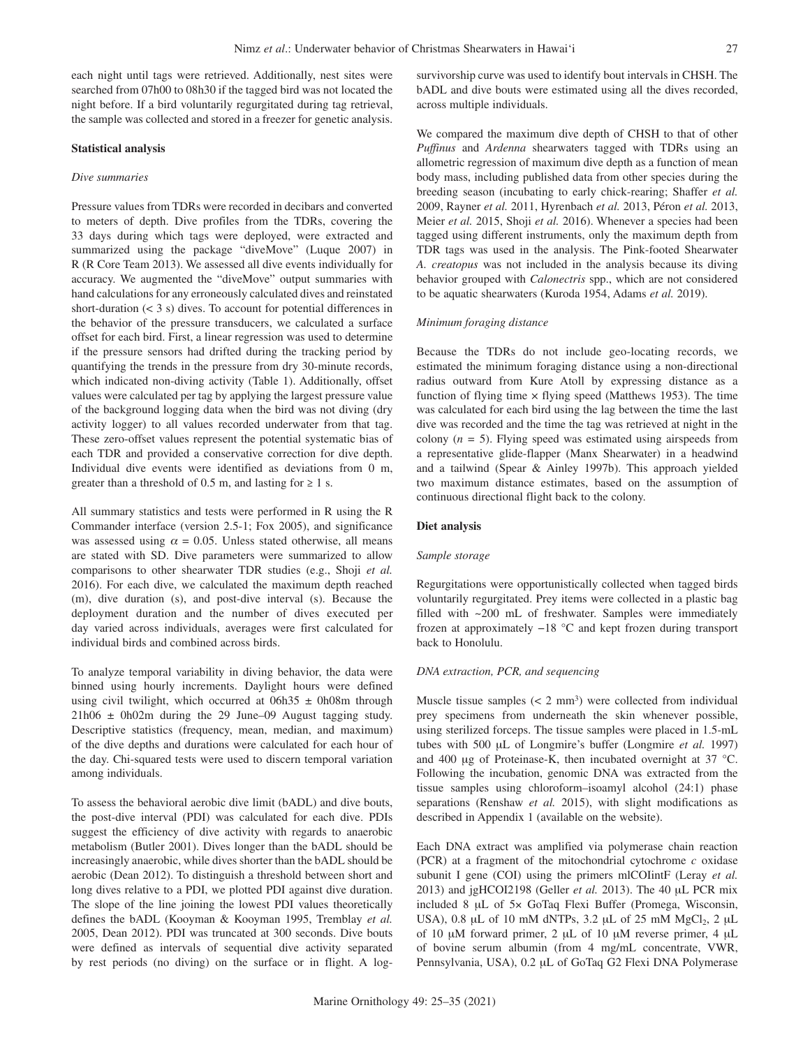each night until tags were retrieved. Additionally, nest sites were searched from 07h00 to 08h30 if the tagged bird was not located the night before. If a bird voluntarily regurgitated during tag retrieval, the sample was collected and stored in a freezer for genetic analysis.

#### **Statistical analysis**

## *Dive summaries*

Pressure values from TDRs were recorded in decibars and converted to meters of depth. Dive profiles from the TDRs, covering the 33 days during which tags were deployed, were extracted and summarized using the package "diveMove" (Luque 2007) in R (R Core Team 2013). We assessed all dive events individually for accuracy. We augmented the "diveMove" output summaries with hand calculations for any erroneously calculated dives and reinstated short-duration  $(< 3 s)$  dives. To account for potential differences in the behavior of the pressure transducers, we calculated a surface offset for each bird. First, a linear regression was used to determine if the pressure sensors had drifted during the tracking period by quantifying the trends in the pressure from dry 30-minute records, which indicated non-diving activity (Table 1). Additionally, offset values were calculated per tag by applying the largest pressure value of the background logging data when the bird was not diving (dry activity logger) to all values recorded underwater from that tag. These zero-offset values represent the potential systematic bias of each TDR and provided a conservative correction for dive depth. Individual dive events were identified as deviations from 0 m, greater than a threshold of 0.5 m, and lasting for  $\geq 1$  s.

All summary statistics and tests were performed in R using the R Commander interface (version 2.5-1; Fox 2005), and significance was assessed using  $\alpha = 0.05$ . Unless stated otherwise, all means are stated with SD. Dive parameters were summarized to allow comparisons to other shearwater TDR studies (e.g., Shoji *et al.* 2016). For each dive, we calculated the maximum depth reached (m), dive duration (s), and post-dive interval (s). Because the deployment duration and the number of dives executed per day varied across individuals, averages were first calculated for individual birds and combined across birds.

To analyze temporal variability in diving behavior, the data were binned using hourly increments. Daylight hours were defined using civil twilight, which occurred at  $06h35 \pm 0h08m$  through  $21h06 \pm 0h02m$  during the 29 June–09 August tagging study. Descriptive statistics (frequency, mean, median, and maximum) of the dive depths and durations were calculated for each hour of the day. Chi-squared tests were used to discern temporal variation among individuals.

To assess the behavioral aerobic dive limit (bADL) and dive bouts, the post-dive interval (PDI) was calculated for each dive. PDIs suggest the efficiency of dive activity with regards to anaerobic metabolism (Butler 2001). Dives longer than the bADL should be increasingly anaerobic, while dives shorter than the bADL should be aerobic (Dean 2012). To distinguish a threshold between short and long dives relative to a PDI, we plotted PDI against dive duration. The slope of the line joining the lowest PDI values theoretically defines the bADL (Kooyman & Kooyman 1995, Tremblay *et al.* 2005, Dean 2012). PDI was truncated at 300 seconds. Dive bouts were defined as intervals of sequential dive activity separated by rest periods (no diving) on the surface or in flight. A logsurvivorship curve was used to identify bout intervals in CHSH. The bADL and dive bouts were estimated using all the dives recorded, across multiple individuals.

We compared the maximum dive depth of CHSH to that of other *Puffinus* and *Ardenna* shearwaters tagged with TDRs using an allometric regression of maximum dive depth as a function of mean body mass, including published data from other species during the breeding season (incubating to early chick-rearing; Shaffer *et al.* 2009, Rayner *et al.* 2011, Hyrenbach *et al.* 2013, Péron *et al.* 2013, Meier *et al.* 2015, Shoji *et al.* 2016). Whenever a species had been tagged using different instruments, only the maximum depth from TDR tags was used in the analysis. The Pink-footed Shearwater *A. creatopus* was not included in the analysis because its diving behavior grouped with *Calonectris* spp., which are not considered to be aquatic shearwaters (Kuroda 1954, Adams *et al.* 2019).

#### *Minimum foraging distance*

Because the TDRs do not include geo-locating records, we estimated the minimum foraging distance using a non-directional radius outward from Kure Atoll by expressing distance as a function of flying time  $\times$  flying speed (Matthews 1953). The time was calculated for each bird using the lag between the time the last dive was recorded and the time the tag was retrieved at night in the colony  $(n = 5)$ . Flying speed was estimated using airspeeds from a representative glide-flapper (Manx Shearwater) in a headwind and a tailwind (Spear & Ainley 1997b). This approach yielded two maximum distance estimates, based on the assumption of continuous directional flight back to the colony.

# **Diet analysis**

## *Sample storage*

Regurgitations were opportunistically collected when tagged birds voluntarily regurgitated. Prey items were collected in a plastic bag filled with ~200 mL of freshwater. Samples were immediately frozen at approximately −18 °C and kept frozen during transport back to Honolulu.

#### *DNA extraction, PCR, and sequencing*

Muscle tissue samples  $(< 2 \text{ mm}^3)$  were collected from individual prey specimens from underneath the skin whenever possible, using sterilized forceps. The tissue samples were placed in 1.5-mL tubes with 500 µL of Longmire's buffer (Longmire et al. 1997) and 400  $\mu$ g of Proteinase-K, then incubated overnight at 37 °C. Following the incubation, genomic DNA was extracted from the tissue samples using chloroform–isoamyl alcohol (24:1) phase separations (Renshaw *et al.* 2015), with slight modifications as described in Appendix 1 (available on the website).

Each DNA extract was amplified via polymerase chain reaction (PCR) at a fragment of the mitochondrial cytochrome *c* oxidase subunit I gene (COI) using the primers mlCOIintF (Leray *et al.* 2013) and jgHCOI2198 (Geller *et al.* 2013). The 40 µL PCR mix included 8 µL of 5× GoTaq Flexi Buffer (Promega, Wisconsin, USA), 0.8 µL of 10 mM dNTPs, 3.2 µL of 25 mM  $MgCl<sub>2</sub>$ , 2 µL of 10  $\mu$ M forward primer, 2  $\mu$ L of 10  $\mu$ M reverse primer, 4  $\mu$ L of bovine serum albumin (from 4 mg/mL concentrate, VWR, Pennsylvania, USA), 0.2 µL of GoTaq G2 Flexi DNA Polymerase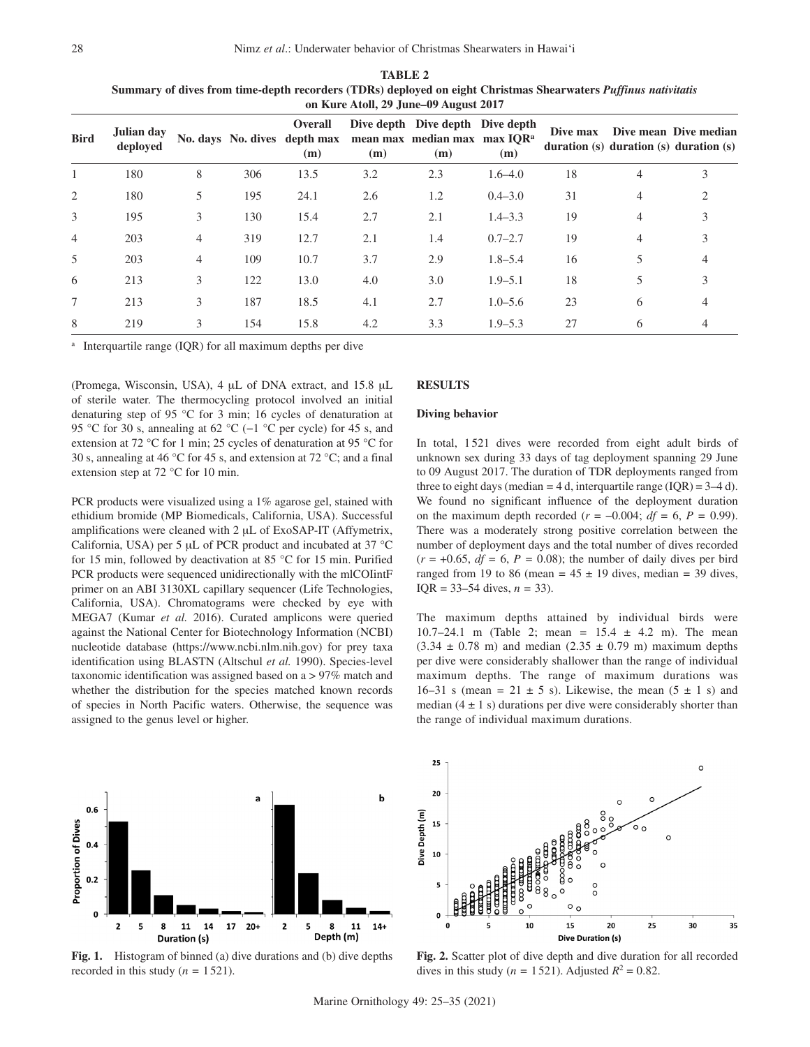|                | on Kure Atoll, 29 June–09 August 2017 |                |     |                                                |     |                                                                                     |             |          |                |                                                                       |
|----------------|---------------------------------------|----------------|-----|------------------------------------------------|-----|-------------------------------------------------------------------------------------|-------------|----------|----------------|-----------------------------------------------------------------------|
| <b>Bird</b>    | Julian day<br>deployed                |                |     | Overall<br>No. days No. dives depth max<br>(m) | (m) | Dive depth Dive depth Dive depth<br>mean max median max max IQR <sup>a</sup><br>(m) | (m)         | Dive max |                | Dive mean Dive median<br>duration $(s)$ duration $(s)$ duration $(s)$ |
|                | 180                                   | 8              | 306 | 13.5                                           | 3.2 | 2.3                                                                                 | $1.6 - 4.0$ | 18       | 4              | 3                                                                     |
| 2              | 180                                   | 5              | 195 | 24.1                                           | 2.6 | 1.2                                                                                 | $0.4 - 3.0$ | 31       | $\overline{4}$ | $\mathcal{D}_{\mathcal{L}}$                                           |
| 3              | 195                                   | 3              | 130 | 15.4                                           | 2.7 | 2.1                                                                                 | $1.4 - 3.3$ | 19       | 4              | 3                                                                     |
| $\overline{4}$ | 203                                   | $\overline{4}$ | 319 | 12.7                                           | 2.1 | 1.4                                                                                 | $0.7 - 2.7$ | 19       | 4              | 3                                                                     |
| 5              | 203                                   | $\overline{4}$ | 109 | 10.7                                           | 3.7 | 2.9                                                                                 | $1.8 - 5.4$ | 16       | 5              |                                                                       |
| 6              | 213                                   | 3              | 122 | 13.0                                           | 4.0 | 3.0                                                                                 | $1.9 - 5.1$ | 18       | 5              |                                                                       |
| 7              | 213                                   | 3              | 187 | 18.5                                           | 4.1 | 2.7                                                                                 | $1.0 - 5.6$ | 23       | 6              | 4                                                                     |
| 8              | 219                                   | 3              | 154 | 15.8                                           | 4.2 | 3.3                                                                                 | $1.9 - 5.3$ | 27       | 6              |                                                                       |

**TABLE 2 Summary of dives from time-depth recorders (TDRs) deployed on eight Christmas Shearwaters** *Puffinus nativitatis* 

Interquartile range (IQR) for all maximum depths per dive

(Promega, Wisconsin, USA), 4 µL of DNA extract, and 15.8 µL of sterile water. The thermocycling protocol involved an initial denaturing step of 95 °C for 3 min; 16 cycles of denaturation at 95 °C for 30 s, annealing at 62 °C (−1 °C per cycle) for 45 s, and extension at 72 °C for 1 min; 25 cycles of denaturation at 95 °C for 30 s, annealing at 46 °C for 45 s, and extension at 72 °C; and a final extension step at 72 °C for 10 min.

PCR products were visualized using a 1% agarose gel, stained with ethidium bromide (MP Biomedicals, California, USA). Successful amplifications were cleaned with 2 µL of ExoSAP-IT (Affymetrix, California, USA) per 5 µL of PCR product and incubated at 37 °C for 15 min, followed by deactivation at 85 °C for 15 min. Purified PCR products were sequenced unidirectionally with the mlCOIintF primer on an ABI 3130XL capillary sequencer (Life Technologies, California, USA). Chromatograms were checked by eye with MEGA7 (Kumar *et al.* 2016). Curated amplicons were queried against the National Center for Biotechnology Information (NCBI) nucleotide database (https://www.ncbi.nlm.nih.gov) for prey taxa identification using BLASTN (Altschul *et al.* 1990). Species-level taxonomic identification was assigned based on a > 97% match and whether the distribution for the species matched known records of species in North Pacific waters. Otherwise, the sequence was assigned to the genus level or higher.



## **Diving behavior**

In total, 1 521 dives were recorded from eight adult birds of unknown sex during 33 days of tag deployment spanning 29 June to 09 August 2017. The duration of TDR deployments ranged from three to eight days (median  $=$  4 d, interquartile range (IQR)  $=$  3–4 d). We found no significant influence of the deployment duration on the maximum depth recorded ( $r = -0.004$ ; *df* = 6, *P* = 0.99). There was a moderately strong positive correlation between the number of deployment days and the total number of dives recorded  $(r = +0.65, df = 6, P = 0.08)$ ; the number of daily dives per bird ranged from 19 to 86 (mean =  $45 \pm 19$  dives, median = 39 dives, IQR = 33–54 dives, *n =* 33).

The maximum depths attained by individual birds were 10.7–24.1 m (Table 2; mean *=* 15.4 ± 4.2 m). The mean  $(3.34 \pm 0.78 \text{ m})$  and median  $(2.35 \pm 0.79 \text{ m})$  maximum depths per dive were considerably shallower than the range of individual maximum depths. The range of maximum durations was 16–31 s (mean =  $21 \pm 5$  s). Likewise, the mean  $(5 \pm 1)$  s) and median  $(4 \pm 1 \text{ s})$  durations per dive were considerably shorter than the range of individual maximum durations.



Fig. 1. Histogram of binned (a) dive durations and (b) dive depths recorded in this study  $(n = 1521)$ .



**Fig. 2.** Scatter plot of dive depth and dive duration for all recorded dives in this study ( $n = 1521$ ). Adjusted  $R^2 = 0.82$ .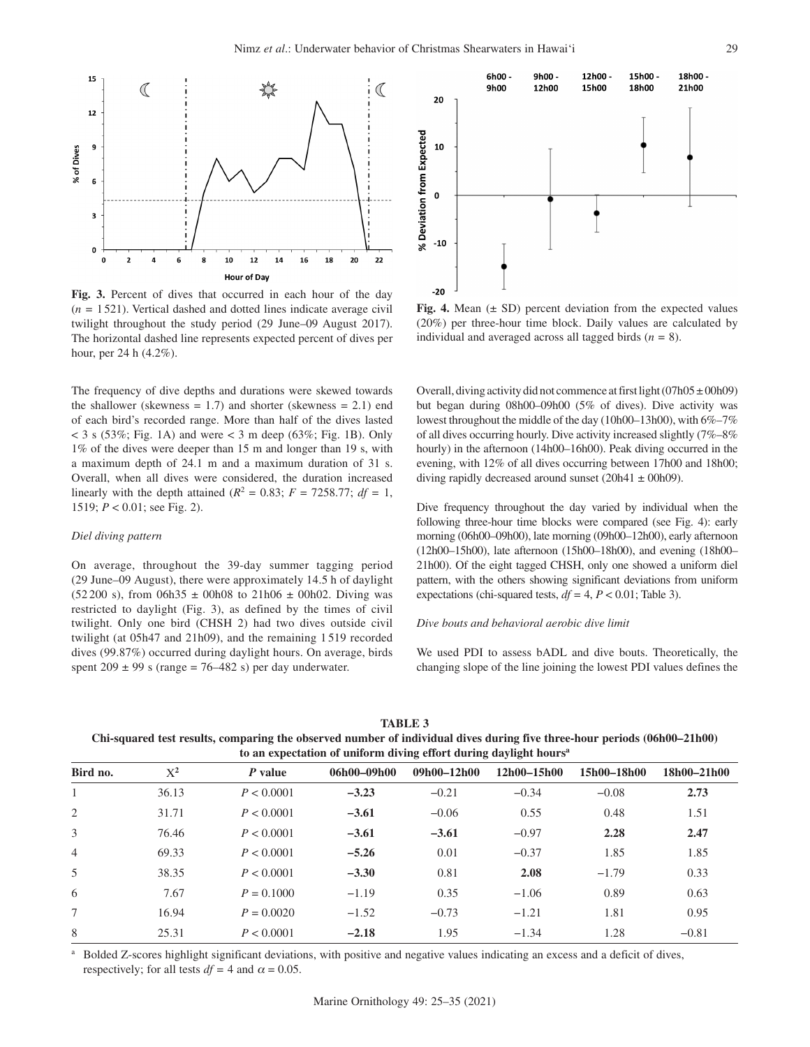

**Fig. 3.** Percent of dives that occurred in each hour of the day (*n =* 1521). Vertical dashed and dotted lines indicate average civil twilight throughout the study period (29 June–09 August 2017). The horizontal dashed line represents expected percent of dives per hour, per 24 h (4.2%).

The frequency of dive depths and durations were skewed towards the shallower (skewness  $= 1.7$ ) and shorter (skewness  $= 2.1$ ) end of each bird's recorded range. More than half of the dives lasted  $<$  3 s (53%; Fig. 1A) and were  $<$  3 m deep (63%; Fig. 1B). Only 1% of the dives were deeper than 15 m and longer than 19 s, with a maximum depth of 24.1 m and a maximum duration of 31 s. Overall, when all dives were considered, the duration increased linearly with the depth attained ( $R^2 = 0.83$ ;  $F = 7258.77$ ;  $df = 1$ , 1519; *P* < 0.01; see Fig. 2).

# *Diel diving pattern*

On average, throughout the 39-day summer tagging period (29 June–09 August), there were approximately 14.5 h of daylight (52 200 s), from 06h35  $\pm$  00h08 to 21h06  $\pm$  00h02. Diving was restricted to daylight (Fig. 3), as defined by the times of civil twilight. Only one bird (CHSH 2) had two dives outside civil twilight (at 05h47 and 21h09), and the remaining 1 519 recorded dives (99.87%) occurred during daylight hours. On average, birds spent  $209 \pm 99$  s (range = 76–482 s) per day underwater.



**Fig. 4.** Mean (± SD) percent deviation from the expected values (20%) per three-hour time block. Daily values are calculated by individual and averaged across all tagged birds (*n =* 8).

Overall, diving activity did not commence at first light  $(07h05 \pm 00h09)$ but began during 08h00–09h00 (5% of dives). Dive activity was lowest throughout the middle of the day (10h00–13h00), with 6%–7% of all dives occurring hourly. Dive activity increased slightly (7%–8% hourly) in the afternoon (14h00–16h00). Peak diving occurred in the evening, with 12% of all dives occurring between 17h00 and 18h00; diving rapidly decreased around sunset (20h41  $\pm$  00h09).

Dive frequency throughout the day varied by individual when the following three-hour time blocks were compared (see Fig. 4): early morning (06h00–09h00), late morning (09h00–12h00), early afternoon (12h00–15h00), late afternoon (15h00–18h00), and evening (18h00– 21h00). Of the eight tagged CHSH, only one showed a uniform diel pattern, with the others showing significant deviations from uniform expectations (chi-squared tests,  $df = 4$ ,  $P < 0.01$ ; Table 3).

## *Dive bouts and behavioral aerobic dive limit*

We used PDI to assess bADL and dive bouts. Theoretically, the changing slope of the line joining the lowest PDI values defines the

**TABLE 3**

**Chi-squared test results, comparing the observed number of individual dives during five three-hour periods (06h00–21h00) to an expectation of uniform diving effort during daylight hoursa**

| Bird no.       | $X^2$ | P value      | 06h00-09h00 | $09h00 - 12h00$ | $12h00 - 15h00$ | 15h00-18h00 | 18h00-21h00 |
|----------------|-------|--------------|-------------|-----------------|-----------------|-------------|-------------|
|                | 36.13 | P < 0.0001   | $-3.23$     | $-0.21$         | $-0.34$         | $-0.08$     | 2.73        |
| 2              | 31.71 | P < 0.0001   | $-3.61$     | $-0.06$         | 0.55            | 0.48        | 1.51        |
| 3              | 76.46 | P < 0.0001   | $-3.61$     | $-3.61$         | $-0.97$         | 2.28        | 2.47        |
| $\overline{4}$ | 69.33 | P < 0.0001   | $-5.26$     | 0.01            | $-0.37$         | 1.85        | 1.85        |
| .5             | 38.35 | P < 0.0001   | $-3.30$     | 0.81            | 2.08            | $-1.79$     | 0.33        |
| 6              | 7.67  | $P = 0.1000$ | $-1.19$     | 0.35            | $-1.06$         | 0.89        | 0.63        |
|                | 16.94 | $P = 0.0020$ | $-1.52$     | $-0.73$         | $-1.21$         | 1.81        | 0.95        |
| 8              | 25.31 | P < 0.0001   | $-2.18$     | 1.95            | $-1.34$         | 1.28        | $-0.81$     |

<sup>a</sup> Bolded Z-scores highlight significant deviations, with positive and negative values indicating an excess and a deficit of dives, respectively; for all tests  $df = 4$  and  $\alpha = 0.05$ .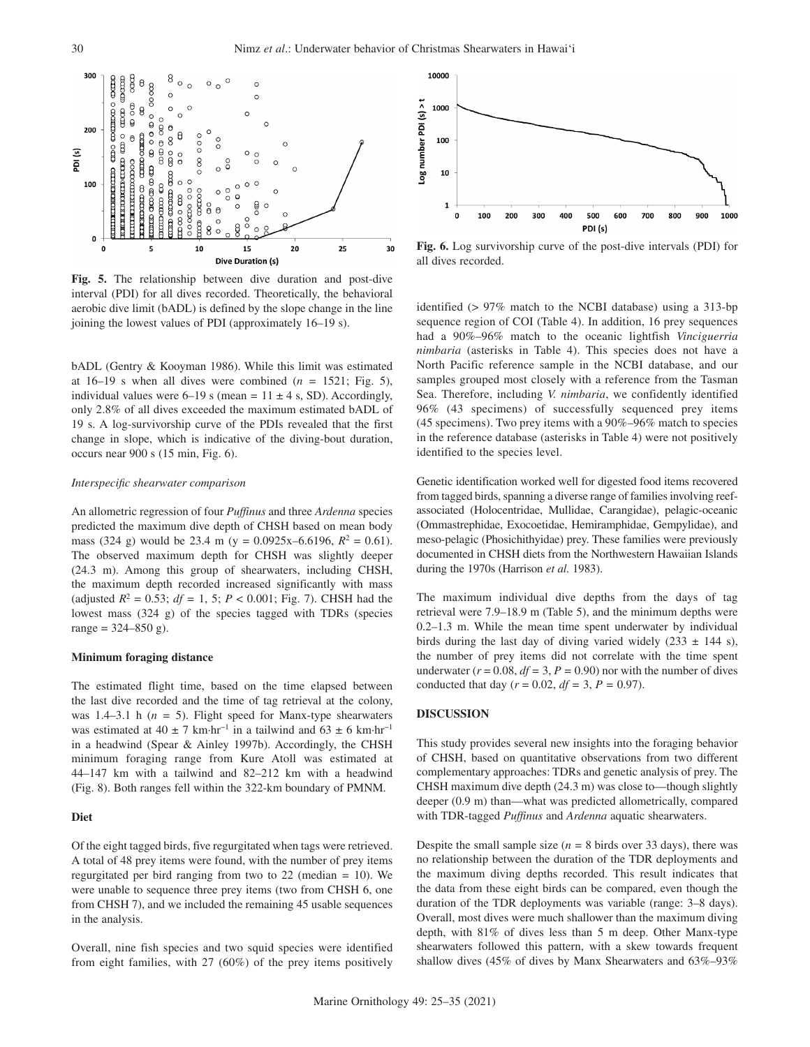

**Fig. 5.** The relationship between dive duration and post-dive interval (PDI) for all dives recorded. Theoretically, the behavioral aerobic dive limit (bADL) is defined by the slope change in the line joining the lowest values of PDI (approximately 16–19 s).

bADL (Gentry & Kooyman 1986). While this limit was estimated at  $16-19$  s when all dives were combined ( $n = 1521$ ; Fig. 5), individual values were  $6-19$  s (mean =  $11 \pm 4$  s, SD). Accordingly, only 2.8% of all dives exceeded the maximum estimated bADL of 19 s. A log-survivorship curve of the PDIs revealed that the first change in slope, which is indicative of the diving-bout duration, occurs near 900 s (15 min, Fig. 6).

#### *Interspecific shearwater comparison*

An allometric regression of four *Puffinus* and three *Ardenna* species predicted the maximum dive depth of CHSH based on mean body mass (324 g) would be 23.4 m (y =  $0.0925x - 6.6196$ ,  $R^2 = 0.61$ ). The observed maximum depth for CHSH was slightly deeper (24.3 m). Among this group of shearwaters, including CHSH, the maximum depth recorded increased significantly with mass (adjusted  $R^2 = 0.53$ ;  $df = 1, 5$ ;  $P < 0.001$ ; Fig. 7). CHSH had the lowest mass (324 g) of the species tagged with TDRs (species range =  $324 - 850$  g).

## **Minimum foraging distance**

The estimated flight time, based on the time elapsed between the last dive recorded and the time of tag retrieval at the colony, was 1.4–3.1 h  $(n = 5)$ . Flight speed for Manx-type shearwaters was estimated at 40 ± 7 km⋅hr<sup>-1</sup> in a tailwind and 63 ± 6 km⋅hr<sup>-1</sup> in a headwind (Spear & Ainley 1997b). Accordingly, the CHSH minimum foraging range from Kure Atoll was estimated at 44–147 km with a tailwind and 82–212 km with a headwind (Fig. 8). Both ranges fell within the 322-km boundary of PMNM.

## **Diet**

Of the eight tagged birds, five regurgitated when tags were retrieved. A total of 48 prey items were found, with the number of prey items regurgitated per bird ranging from two to 22 (median *=* 10). We were unable to sequence three prey items (two from CHSH 6, one from CHSH 7), and we included the remaining 45 usable sequences in the analysis.

Overall, nine fish species and two squid species were identified from eight families, with 27 (60%) of the prey items positively



**Fig. 6.** Log survivorship curve of the post-dive intervals (PDI) for all dives recorded.

identified (> 97% match to the NCBI database) using a 313-bp sequence region of COI (Table 4). In addition, 16 prey sequences had a 90%–96% match to the oceanic lightfish *Vinciguerria nimbaria* (asterisks in Table 4). This species does not have a North Pacific reference sample in the NCBI database, and our samples grouped most closely with a reference from the Tasman Sea. Therefore, including *V. nimbaria*, we confidently identified 96% (43 specimens) of successfully sequenced prey items (45 specimens). Two prey items with a 90%–96% match to species in the reference database (asterisks in Table 4) were not positively identified to the species level.

Genetic identification worked well for digested food items recovered from tagged birds, spanning a diverse range of families involving reefassociated (Holocentridae, Mullidae, Carangidae), pelagic-oceanic (Ommastrephidae, Exocoetidae, Hemiramphidae, Gempylidae), and meso-pelagic (Phosichithyidae) prey. These families were previously documented in CHSH diets from the Northwestern Hawaiian Islands during the 1970s (Harrison *et al.* 1983).

The maximum individual dive depths from the days of tag retrieval were 7.9–18.9 m (Table 5), and the minimum depths were 0.2–1.3 m. While the mean time spent underwater by individual birds during the last day of diving varied widely  $(233 \pm 144 \text{ s})$ , the number of prey items did not correlate with the time spent underwater ( $r = 0.08$ ,  $df = 3$ ,  $P = 0.90$ ) nor with the number of dives conducted that day ( $r = 0.02$ ,  $df = 3$ ,  $P = 0.97$ ).

## **DISCUSSION**

This study provides several new insights into the foraging behavior of CHSH, based on quantitative observations from two different complementary approaches: TDRs and genetic analysis of prey. The CHSH maximum dive depth (24.3 m) was close to—though slightly deeper (0.9 m) than—what was predicted allometrically, compared with TDR-tagged *Puffinus* and *Ardenna* aquatic shearwaters.

Despite the small sample size  $(n = 8 \text{ birds over } 33 \text{ days})$ , there was no relationship between the duration of the TDR deployments and the maximum diving depths recorded. This result indicates that the data from these eight birds can be compared, even though the duration of the TDR deployments was variable (range: 3–8 days). Overall, most dives were much shallower than the maximum diving depth, with 81% of dives less than 5 m deep. Other Manx-type shearwaters followed this pattern, with a skew towards frequent shallow dives (45% of dives by Manx Shearwaters and 63%–93%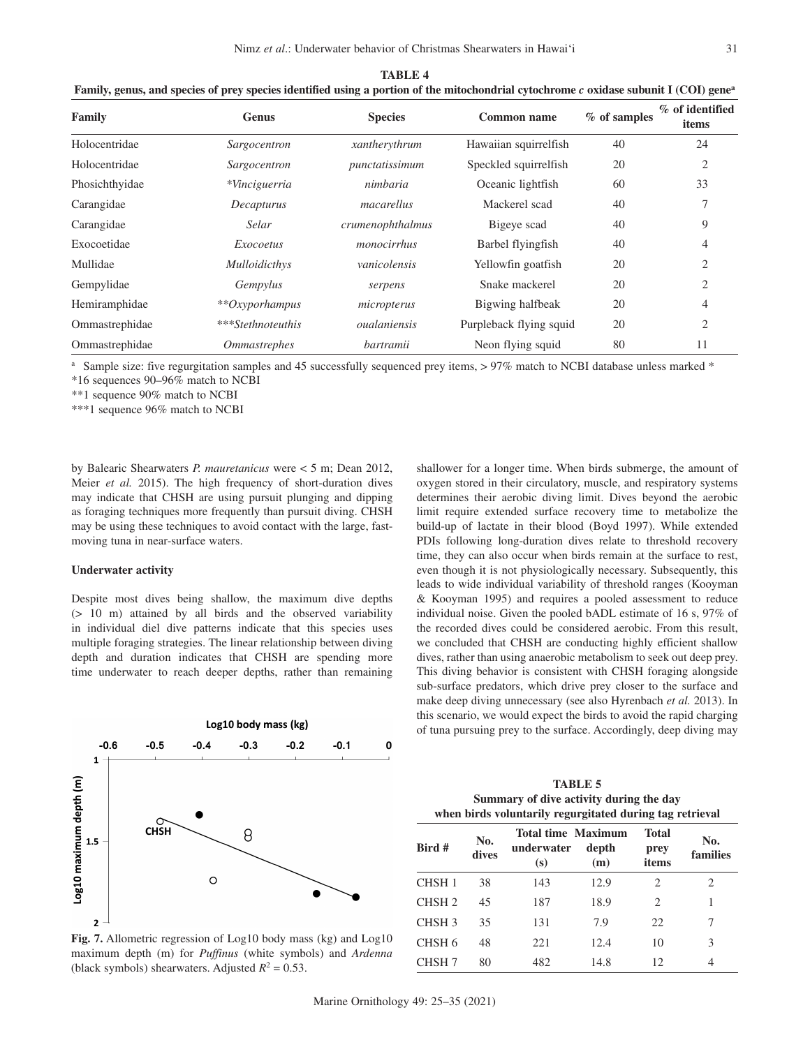| <b>TABLE 4</b>                                                                                                                                    |               |                  |                       |                |                          |  |  |  |  |
|---------------------------------------------------------------------------------------------------------------------------------------------------|---------------|------------------|-----------------------|----------------|--------------------------|--|--|--|--|
| Family, genus, and species of prey species identified using a portion of the mitochondrial cytochrome c oxidase subunit I (COI) gene <sup>a</sup> |               |                  |                       |                |                          |  |  |  |  |
| Family                                                                                                                                            | <b>Genus</b>  | <b>Species</b>   | Common name           | $%$ of samples | % of identified<br>items |  |  |  |  |
| Holocentridae                                                                                                                                     | Sargocentron  | xantherythrum    | Hawaiian squirrelfish | 40             | 24                       |  |  |  |  |
| Holocentridae                                                                                                                                     | Sargocentron  | punctatissimum   | Speckled squirrelfish | 20             | $\bigcirc$               |  |  |  |  |
| Phosichthyidae                                                                                                                                    | *Vinciguerria | nimbaria         | Oceanic lightfish     | 60             | 33                       |  |  |  |  |
| Carangidae                                                                                                                                        | Decapturus    | macarellus       | Mackerel scad         | 40             |                          |  |  |  |  |
| Carangidae                                                                                                                                        | Selar         | crumenophthalmus | Bigeye scad           | 40             | 9                        |  |  |  |  |

Ommastrephidae *Ommastrephes bartramii* Neon flying squid 80 11 <sup>a</sup> Sample size: five regurgitation samples and 45 successfully sequenced prey items, > 97% match to NCBI database unless marked \*

Exocoetidae *Exocoetus monocirrhus* Barbel flyingfish 40 4 Mullidae *Mulloidicthys vanicolensis* Yellowfin goatfish 20 2 Gempylidae *Gempylus serpens* Snake mackerel 20 2 Hemiramphidae *\*\*Oxyporhampus micropterus* Bigwing halfbeak 20 4 Ommastrephidae *\*\*\*Stethnoteuthis oualaniensis* Purpleback flying squid 20 2

\*16 sequences 90–96% match to NCBI

\*\*1 sequence 90% match to NCBI

\*\*\*1 sequence 96% match to NCBI

by Balearic Shearwaters *P. mauretanicus* were < 5 m; Dean 2012, Meier *et al.* 2015). The high frequency of short-duration dives may indicate that CHSH are using pursuit plunging and dipping as foraging techniques more frequently than pursuit diving. CHSH may be using these techniques to avoid contact with the large, fastmoving tuna in near-surface waters.

# **Underwater activity**

Despite most dives being shallow, the maximum dive depths (> 10 m) attained by all birds and the observed variability in individual diel dive patterns indicate that this species uses multiple foraging strategies. The linear relationship between diving depth and duration indicates that CHSH are spending more time underwater to reach deeper depths, rather than remaining



maximum depth (m) for *Puffinus* (white symbols) and *Ardenna*

(black symbols) shearwaters. Adjusted  $R^2 = 0.53$ .

shallower for a longer time. When birds submerge, the amount of oxygen stored in their circulatory, muscle, and respiratory systems determines their aerobic diving limit. Dives beyond the aerobic limit require extended surface recovery time to metabolize the build-up of lactate in their blood (Boyd 1997). While extended PDIs following long-duration dives relate to threshold recovery time, they can also occur when birds remain at the surface to rest, even though it is not physiologically necessary. Subsequently, this leads to wide individual variability of threshold ranges (Kooyman & Kooyman 1995) and requires a pooled assessment to reduce individual noise. Given the pooled bADL estimate of 16 s, 97% of the recorded dives could be considered aerobic. From this result, we concluded that CHSH are conducting highly efficient shallow dives, rather than using anaerobic metabolism to seek out deep prey. This diving behavior is consistent with CHSH foraging alongside sub-surface predators, which drive prey closer to the surface and make deep diving unnecessary (see also Hyrenbach *et al.* 2013). In this scenario, we would expect the birds to avoid the rapid charging of tuna pursuing prey to the surface. Accordingly, deep diving may

| <b>TABLE 5</b>                                           |
|----------------------------------------------------------|
| Summary of dive activity during the day                  |
| when birds voluntarily regurgitated during tag retrieval |

| Bird #            | No.<br>dives | <b>Total time Maximum</b><br>underwater<br>(s) | depth<br>(m) | <b>Total</b><br>prey<br>items | No.<br>families |
|-------------------|--------------|------------------------------------------------|--------------|-------------------------------|-----------------|
| CHSH <sub>1</sub> | 38           | 143                                            | 12.9         | 2                             | 2.              |
| CHSH <sub>2</sub> | 45           | 187                                            | 18.9         | 2                             |                 |
| CHSH <sub>3</sub> | 35           | 131                                            | 7.9          | 22                            |                 |
| CHSH <sub>6</sub> | 48           | 221                                            | 12.4         | 10                            | 3               |
| CHSH <sub>7</sub> | 80           | 482                                            | 14.8         | 12                            | 4               |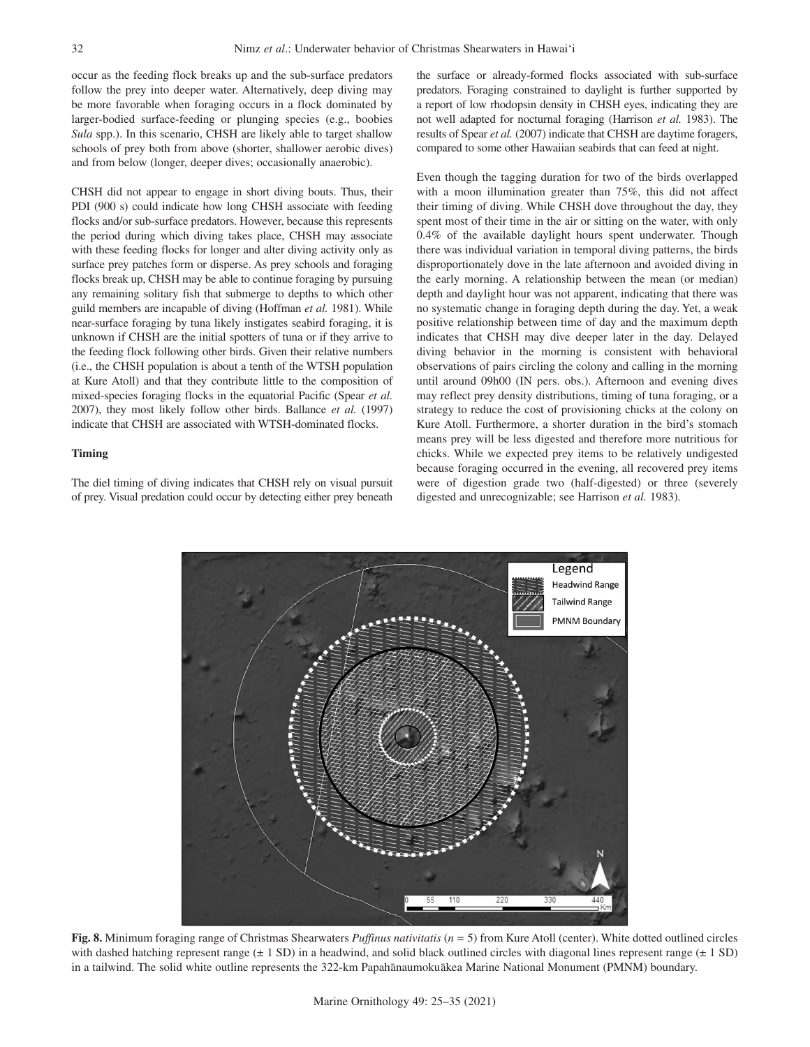occur as the feeding flock breaks up and the sub-surface predators follow the prey into deeper water. Alternatively, deep diving may be more favorable when foraging occurs in a flock dominated by larger-bodied surface-feeding or plunging species (e.g., boobies *Sula* spp.). In this scenario, CHSH are likely able to target shallow schools of prey both from above (shorter, shallower aerobic dives) and from below (longer, deeper dives; occasionally anaerobic).

CHSH did not appear to engage in short diving bouts. Thus, their PDI (900 s) could indicate how long CHSH associate with feeding flocks and/or sub-surface predators. However, because this represents the period during which diving takes place, CHSH may associate with these feeding flocks for longer and alter diving activity only as surface prey patches form or disperse. As prey schools and foraging flocks break up, CHSH may be able to continue foraging by pursuing any remaining solitary fish that submerge to depths to which other guild members are incapable of diving (Hoffman *et al.* 1981). While near-surface foraging by tuna likely instigates seabird foraging, it is unknown if CHSH are the initial spotters of tuna or if they arrive to the feeding flock following other birds. Given their relative numbers (i.e., the CHSH population is about a tenth of the WTSH population at Kure Atoll) and that they contribute little to the composition of mixed-species foraging flocks in the equatorial Pacific (Spear *et al.* 2007), they most likely follow other birds. Ballance *et al.* (1997) indicate that CHSH are associated with WTSH-dominated flocks.

# **Timing**

The diel timing of diving indicates that CHSH rely on visual pursuit of prey. Visual predation could occur by detecting either prey beneath the surface or already-formed flocks associated with sub-surface predators. Foraging constrained to daylight is further supported by a report of low rhodopsin density in CHSH eyes, indicating they are not well adapted for nocturnal foraging (Harrison *et al.* 1983). The results of Spear *et al.* (2007) indicate that CHSH are daytime foragers, compared to some other Hawaiian seabirds that can feed at night.

Even though the tagging duration for two of the birds overlapped with a moon illumination greater than 75%, this did not affect their timing of diving. While CHSH dove throughout the day, they spent most of their time in the air or sitting on the water, with only 0.4% of the available daylight hours spent underwater. Though there was individual variation in temporal diving patterns, the birds disproportionately dove in the late afternoon and avoided diving in the early morning. A relationship between the mean (or median) depth and daylight hour was not apparent, indicating that there was no systematic change in foraging depth during the day. Yet, a weak positive relationship between time of day and the maximum depth indicates that CHSH may dive deeper later in the day. Delayed diving behavior in the morning is consistent with behavioral observations of pairs circling the colony and calling in the morning until around 09h00 (IN pers. obs.). Afternoon and evening dives may reflect prey density distributions, timing of tuna foraging, or a strategy to reduce the cost of provisioning chicks at the colony on Kure Atoll. Furthermore, a shorter duration in the bird's stomach means prey will be less digested and therefore more nutritious for chicks. While we expected prey items to be relatively undigested because foraging occurred in the evening, all recovered prey items were of digestion grade two (half-digested) or three (severely digested and unrecognizable; see Harrison *et al.* 1983).



**Fig. 8.** Minimum foraging range of Christmas Shearwaters *Puffinus nativitatis* (*n =* 5) from Kure Atoll (center). White dotted outlined circles with dashed hatching represent range  $(\pm 1 \text{ SD})$  in a headwind, and solid black outlined circles with diagonal lines represent range  $(\pm 1 \text{ SD})$ in a tailwind. The solid white outline represents the 322-km Papahānaumokuākea Marine National Monument (PMNM) boundary.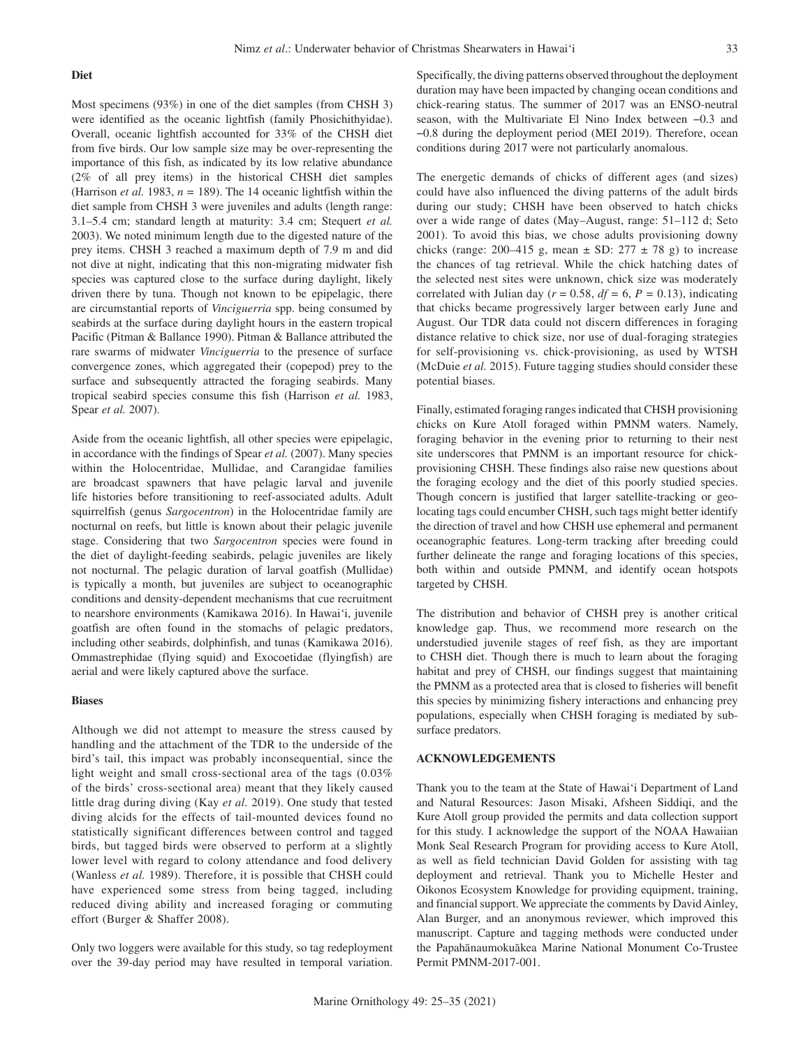Most specimens (93%) in one of the diet samples (from CHSH 3) were identified as the oceanic lightfish (family Phosichithyidae). Overall, oceanic lightfish accounted for 33% of the CHSH diet from five birds. Our low sample size may be over-representing the importance of this fish, as indicated by its low relative abundance (2% of all prey items) in the historical CHSH diet samples (Harrison *et al.* 1983,  $n = 189$ ). The 14 oceanic lightfish within the diet sample from CHSH 3 were juveniles and adults (length range: 3.1–5.4 cm; standard length at maturity: 3.4 cm; Stequert *et al.* 2003). We noted minimum length due to the digested nature of the prey items. CHSH 3 reached a maximum depth of 7.9 m and did not dive at night, indicating that this non-migrating midwater fish species was captured close to the surface during daylight, likely driven there by tuna. Though not known to be epipelagic, there are circumstantial reports of *Vinciguerria* spp. being consumed by seabirds at the surface during daylight hours in the eastern tropical Pacific (Pitman & Ballance 1990). Pitman & Ballance attributed the rare swarms of midwater *Vinciguerria* to the presence of surface convergence zones, which aggregated their (copepod) prey to the surface and subsequently attracted the foraging seabirds. Many tropical seabird species consume this fish (Harrison *et al.* 1983, Spear *et al.* 2007).

Aside from the oceanic lightfish, all other species were epipelagic, in accordance with the findings of Spear *et al.* (2007). Many species within the Holocentridae, Mullidae, and Carangidae families are broadcast spawners that have pelagic larval and juvenile life histories before transitioning to reef-associated adults. Adult squirrelfish (genus *Sargocentron*) in the Holocentridae family are nocturnal on reefs, but little is known about their pelagic juvenile stage. Considering that two *Sargocentron* species were found in the diet of daylight-feeding seabirds, pelagic juveniles are likely not nocturnal. The pelagic duration of larval goatfish (Mullidae) is typically a month, but juveniles are subject to oceanographic conditions and density-dependent mechanisms that cue recruitment to nearshore environments (Kamikawa 2016). In Hawai'i, juvenile goatfish are often found in the stomachs of pelagic predators, including other seabirds, dolphinfish, and tunas (Kamikawa 2016). Ommastrephidae (flying squid) and Exocoetidae (flyingfish) are aerial and were likely captured above the surface.

## **Biases**

Although we did not attempt to measure the stress caused by handling and the attachment of the TDR to the underside of the bird's tail, this impact was probably inconsequential, since the light weight and small cross-sectional area of the tags (0.03% of the birds' cross-sectional area) meant that they likely caused little drag during diving (Kay *et al.* 2019). One study that tested diving alcids for the effects of tail-mounted devices found no statistically significant differences between control and tagged birds, but tagged birds were observed to perform at a slightly lower level with regard to colony attendance and food delivery (Wanless *et al.* 1989). Therefore, it is possible that CHSH could have experienced some stress from being tagged, including reduced diving ability and increased foraging or commuting effort (Burger & Shaffer 2008).

Only two loggers were available for this study, so tag redeployment over the 39-day period may have resulted in temporal variation. Specifically, the diving patterns observed throughout the deployment duration may have been impacted by changing ocean conditions and chick-rearing status. The summer of 2017 was an ENSO-neutral season, with the Multivariate El Nino Index between −0.3 and −0.8 during the deployment period (MEI 2019). Therefore, ocean conditions during 2017 were not particularly anomalous.

The energetic demands of chicks of different ages (and sizes) could have also influenced the diving patterns of the adult birds during our study; CHSH have been observed to hatch chicks over a wide range of dates (May–August, range: 51–112 d; Seto 2001). To avoid this bias, we chose adults provisioning downy chicks (range: 200–415 g, mean  $\pm$  SD: 277  $\pm$  78 g) to increase the chances of tag retrieval. While the chick hatching dates of the selected nest sites were unknown, chick size was moderately correlated with Julian day ( $r = 0.58$ ,  $df = 6$ ,  $P = 0.13$ ), indicating that chicks became progressively larger between early June and August. Our TDR data could not discern differences in foraging distance relative to chick size, nor use of dual-foraging strategies for self-provisioning vs. chick-provisioning, as used by WTSH (McDuie *et al.* 2015). Future tagging studies should consider these potential biases.

Finally, estimated foraging ranges indicated that CHSH provisioning chicks on Kure Atoll foraged within PMNM waters. Namely, foraging behavior in the evening prior to returning to their nest site underscores that PMNM is an important resource for chickprovisioning CHSH. These findings also raise new questions about the foraging ecology and the diet of this poorly studied species. Though concern is justified that larger satellite-tracking or geolocating tags could encumber CHSH, such tags might better identify the direction of travel and how CHSH use ephemeral and permanent oceanographic features. Long-term tracking after breeding could further delineate the range and foraging locations of this species, both within and outside PMNM, and identify ocean hotspots targeted by CHSH.

The distribution and behavior of CHSH prey is another critical knowledge gap. Thus, we recommend more research on the understudied juvenile stages of reef fish, as they are important to CHSH diet. Though there is much to learn about the foraging habitat and prey of CHSH, our findings suggest that maintaining the PMNM as a protected area that is closed to fisheries will benefit this species by minimizing fishery interactions and enhancing prey populations, especially when CHSH foraging is mediated by subsurface predators.

# **ACKNOWLEDGEMENTS**

Thank you to the team at the State of Hawai'i Department of Land and Natural Resources: Jason Misaki, Afsheen Siddiqi, and the Kure Atoll group provided the permits and data collection support for this study. I acknowledge the support of the NOAA Hawaiian Monk Seal Research Program for providing access to Kure Atoll, as well as field technician David Golden for assisting with tag deployment and retrieval. Thank you to Michelle Hester and Oikonos Ecosystem Knowledge for providing equipment, training, and financial support. We appreciate the comments by David Ainley, Alan Burger, and an anonymous reviewer, which improved this manuscript. Capture and tagging methods were conducted under the Papahānaumokuākea Marine National Monument Co-Trustee Permit PMNM-2017-001.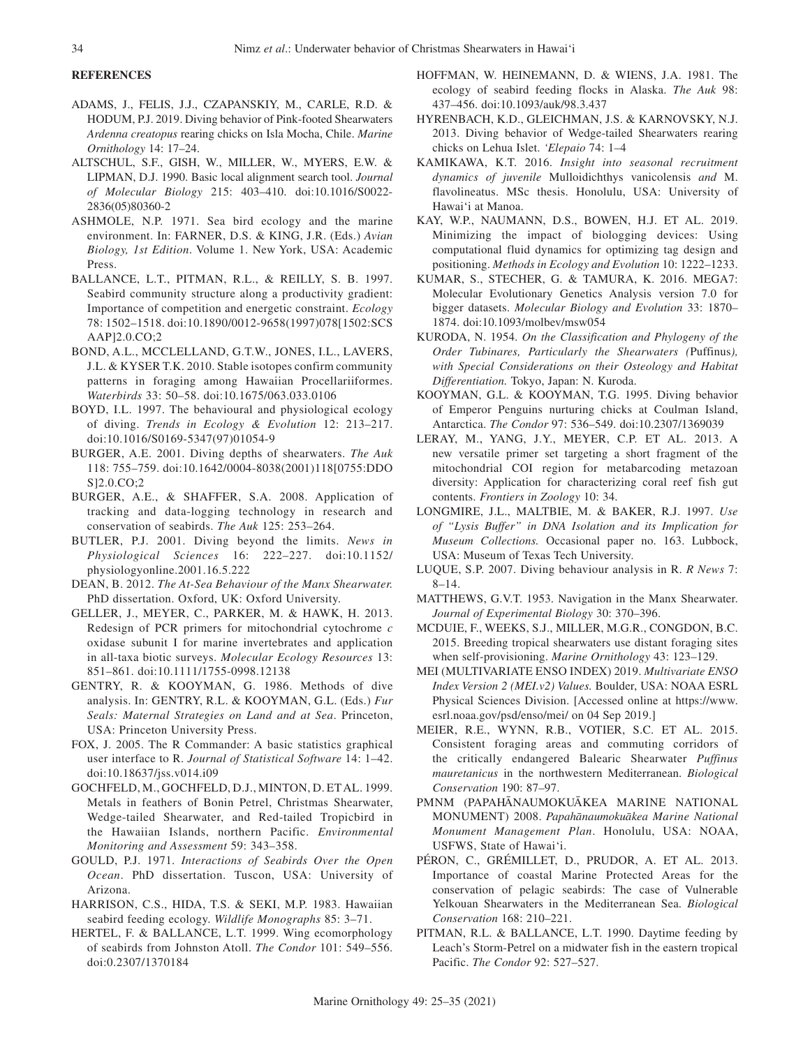# **REFERENCES**

- ADAMS, J., FELIS, J.J., CZAPANSKIY, M., CARLE, R.D. & HODUM, P.J. 2019. Diving behavior of Pink-footed Shearwaters *Ardenna creatopus* rearing chicks on Isla Mocha, Chile. *Marine Ornithology* 14: 17–24.
- ALTSCHUL, S.F., GISH, W., MILLER, W., MYERS, E.W. & LIPMAN, D.J. 1990. Basic local alignment search tool. *Journal of Molecular Biology* 215: 403–410. doi:10.1016/S0022- 2836(05)80360-2
- ASHMOLE, N.P. 1971. Sea bird ecology and the marine environment. In: FARNER, D.S. & KING, J.R. (Eds.) *Avian Biology, 1st Edition*. Volume 1. New York, USA: Academic Press.
- BALLANCE, L.T., PITMAN, R.L., & REILLY, S. B. 1997. Seabird community structure along a productivity gradient: Importance of competition and energetic constraint. *Ecology* 78: 1502–1518. doi:10.1890/0012-9658(1997)078[1502:SCS AAP]2.0.CO;2
- BOND, A.L., MCCLELLAND, G.T.W., JONES, I.L., LAVERS, J.L. & KYSER T.K. 2010. Stable isotopes confirm community patterns in foraging among Hawaiian Procellariiformes. *Waterbirds* 33: 50–58. doi:10.1675/063.033.0106
- BOYD, I.L. 1997. The behavioural and physiological ecology of diving. *Trends in Ecology & Evolution* 12: 213–217. doi:10.1016/S0169-5347(97)01054-9
- BURGER, A.E. 2001. Diving depths of shearwaters. *The Auk* 118: 755–759. doi:10.1642/0004-8038(2001)118[0755:DDO S]2.0.CO;2
- BURGER, A.E., & SHAFFER, S.A. 2008. Application of tracking and data-logging technology in research and conservation of seabirds. *The Auk* 125: 253–264.
- BUTLER, P.J. 2001. Diving beyond the limits. *News in Physiological Sciences* 16: 222–227. doi:10.1152/ physiologyonline.2001.16.5.222
- DEAN, B. 2012. *The At-Sea Behaviour of the Manx Shearwater.* PhD dissertation. Oxford, UK: Oxford University.
- GELLER, J., MEYER, C., PARKER, M. & HAWK, H. 2013. Redesign of PCR primers for mitochondrial cytochrome *c* oxidase subunit I for marine invertebrates and application in all-taxa biotic surveys. *Molecular Ecology Resources* 13: 851–861. doi:10.1111/1755-0998.12138
- GENTRY, R. & KOOYMAN, G. 1986. Methods of dive analysis. In: GENTRY, R.L. & KOOYMAN, G.L. (Eds.) *Fur Seals: Maternal Strategies on Land and at Sea*. Princeton, USA: Princeton University Press.
- FOX, J. 2005. The R Commander: A basic statistics graphical user interface to R. *Journal of Statistical Software* 14: 1–42. doi:10.18637/jss.v014.i09
- GOCHFELD, M., GOCHFELD, D.J., MINTON, D. ET AL. 1999. Metals in feathers of Bonin Petrel, Christmas Shearwater, Wedge-tailed Shearwater, and Red-tailed Tropicbird in the Hawaiian Islands, northern Pacific. *Environmental Monitoring and Assessment* 59: 343–358.
- GOULD, P.J. 1971. *Interactions of Seabirds Over the Open Ocean*. PhD dissertation. Tuscon, USA: University of Arizona.
- HARRISON, C.S., HIDA, T.S. & SEKI, M.P. 1983. Hawaiian seabird feeding ecology. *Wildlife Monographs* 85: 3–71.
- HERTEL, F. & BALLANCE, L.T. 1999. Wing ecomorphology of seabirds from Johnston Atoll. *The Condor* 101: 549–556. doi:0.2307/1370184
- HOFFMAN, W. HEINEMANN, D. & WIENS, J.A. 1981. The ecology of seabird feeding flocks in Alaska. *The Auk* 98: 437–456. doi:10.1093/auk/98.3.437
- HYRENBACH, K.D., GLEICHMAN, J.S. & KARNOVSKY, N.J. 2013. Diving behavior of Wedge-tailed Shearwaters rearing chicks on Lehua Islet. *'Elepaio* 74: 1–4
- KAMIKAWA, K.T. 2016. *Insight into seasonal recruitment dynamics of juvenile* Mulloidichthys vanicolensis *and* M. flavolineatus. MSc thesis. Honolulu, USA: University of Hawai'i at Manoa.
- KAY, W.P., NAUMANN, D.S., BOWEN, H.J. ET AL. 2019. Minimizing the impact of biologging devices: Using computational fluid dynamics for optimizing tag design and positioning. *Methods in Ecology and Evolution* 10: 1222–1233.
- KUMAR, S., STECHER, G. & TAMURA, K. 2016. MEGA7: Molecular Evolutionary Genetics Analysis version 7.0 for bigger datasets. *Molecular Biology and Evolution* 33: 1870– 1874. doi:10.1093/molbev/msw054
- KURODA, N. 1954. *On the Classification and Phylogeny of the Order Tubinares, Particularly the Shearwaters (*Puffinus*), with Special Considerations on their Osteology and Habitat Differentiation.* Tokyo, Japan: N. Kuroda.
- KOOYMAN, G.L. & KOOYMAN, T.G. 1995. Diving behavior of Emperor Penguins nurturing chicks at Coulman Island, Antarctica. *The Condor* 97: 536–549. doi:10.2307/1369039
- LERAY, M., YANG, J.Y., MEYER, C.P. ET AL. 2013. A new versatile primer set targeting a short fragment of the mitochondrial COI region for metabarcoding metazoan diversity: Application for characterizing coral reef fish gut contents. *Frontiers in Zoology* 10: 34.
- LONGMIRE, J.L., MALTBIE, M. & BAKER, R.J. 1997. *Use of "Lysis Buffer" in DNA Isolation and its Implication for Museum Collections.* Occasional paper no. 163. Lubbock, USA: Museum of Texas Tech University.
- LUQUE, S.P. 2007. Diving behaviour analysis in R. *R News* 7: 8–14.
- MATTHEWS, G.V.T. 1953. Navigation in the Manx Shearwater. *Journal of Experimental Biology* 30: 370–396.
- MCDUIE, F., WEEKS, S.J., MILLER, M.G.R., CONGDON, B.C. 2015. Breeding tropical shearwaters use distant foraging sites when self-provisioning. *Marine Ornithology* 43: 123–129.
- MEI (MULTIVARIATE ENSO INDEX) 2019. *Multivariate ENSO Index Version 2 (MEI.v2) Values.* Boulder, USA: NOAA ESRL Physical Sciences Division. [Accessed online at https://www. esrl.noaa.gov/psd/enso/mei/ on 04 Sep 2019.]
- MEIER, R.E., WYNN, R.B., VOTIER, S.C. ET AL. 2015. Consistent foraging areas and commuting corridors of the critically endangered Balearic Shearwater *Puffinus mauretanicus* in the northwestern Mediterranean. *Biological Conservation* 190: 87–97.
- PMNM (PAPAHĀNAUMOKUĀKEA MARINE NATIONAL MONUMENT) 2008. *Papaha¯ naumokua¯ kea Marine National Monument Management Plan*. Honolulu, USA: NOAA, USFWS, State of Hawai'i.
- PÉRON, C., GRÉMILLET, D., PRUDOR, A. ET AL. 2013. Importance of coastal Marine Protected Areas for the conservation of pelagic seabirds: The case of Vulnerable Yelkouan Shearwaters in the Mediterranean Sea. *Biological Conservation* 168: 210–221.
- PITMAN, R.L. & BALLANCE, L.T. 1990. Daytime feeding by Leach's Storm-Petrel on a midwater fish in the eastern tropical Pacific. *The Condor* 92: 527–527.